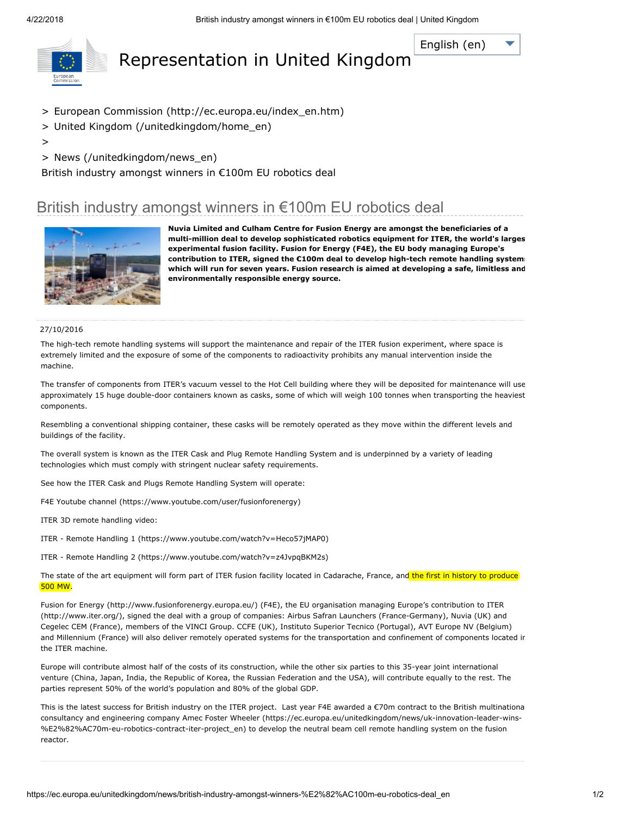[English](javascript:void(0)) (en)

<span id="page-0-0"></span>

# Representation in United Kingdom

- > European Commission [\(http://ec.europa.eu/index\\_en.htm\)](http://ec.europa.eu/index_en.htm)
- > United Kingdom [\(/unitedkingdom/home\\_en\)](https://ec.europa.eu/unitedkingdom/home_en)
- >
- > News [\(/unitedkingdom/news\\_en\)](https://ec.europa.eu/unitedkingdom/news_en)

British industry amongst winners in €100m EU robotics deal

## British industry amongst winners in €100m EU robotics deal



Nuvia Limited and Culham Centre for Fusion Energy are amongst the beneficiaries of a multi-million deal to develop sophisticated robotics equipment for ITER, the world's larges experimental fusion facility. Fusion for Energy (F4E), the EU body managing Europe's contribution to ITER, signed the €100m deal to develop high-tech remote handling system which will run for seven years. Fusion research is aimed at developing a safe, limitless and environmentally responsible energy source.

#### 27/10/2016

The high-tech remote handling systems will support the maintenance and repair of the ITER fusion experiment, where space is extremely limited and the exposure of some of the components to radioactivity prohibits any manual intervention inside the machine.

The transfer of components from ITER's vacuum vessel to the Hot Cell building where they will be deposited for maintenance will use approximately 15 huge double-door containers known as casks, some of which will weigh 100 tonnes when transporting the heaviest components.

Resembling a conventional shipping container, these casks will be remotely operated as they move within the different levels and buildings of the facility.

The overall system is known as the ITER Cask and Plug Remote Handling System and is underpinned by a variety of leading technologies which must comply with stringent nuclear safety requirements.

See how the ITER Cask and Plugs Remote Handling System will operate:

F4E Youtube channel [\(https://www.youtube.com/user/fusionforenergy\)](https://www.youtube.com/user/fusionforenergy)

ITER 3D remote handling video:

ITER - Remote Handling 1 [\(https://www.youtube.com/watch?v=Heco57jMAP0\)](https://www.youtube.com/watch?v=Heco57jMAP0)

ITER - Remote Handling 2 [\(https://www.youtube.com/watch?v=z4JvpqBKM2s\)](https://www.youtube.com/watch?v=z4JvpqBKM2s)

The state of the art equipment will form part of ITER fusion facility located in Cadarache, France, and the first in history to produce 500 MW.

Fusion for Energy [\(http://www.fusionforenergy.europa.eu/](http://www.fusionforenergy.europa.eu/)[\)](http://www.iter.org/) (F4E), the EU organisation managing Europe's contribution to ITER (http://www.iter.org/), signed the deal with a group of companies: Airbus Safran Launchers (France-Germany), Nuvia (UK) and Cegelec CEM (France), members of the VINCI Group. CCFE (UK), Instituto Superior Tecnico (Portugal), AVT Europe NV (Belgium) and Millennium (France) will also deliver remotely operated systems for the transportation and confinement of components located ir the ITER machine.

Europe will contribute almost half of the costs of its construction, while the other six parties to this 35-year joint international venture (China, Japan, India, the Republic of Korea, the Russian Federation and the USA), will contribute equally to the rest. The parties represent 50% of the world's population and 80% of the global GDP.

This is the latest success for British industry on the ITER project. Last year F4E awarded a €70m contract to the British multinationa consultancy and engineering company Amec Foster Wheeler [\(https://ec.europa.eu/unitedkingdom/news/uk-innovation-leader-wins-](https://ec.europa.eu/unitedkingdom/news/uk-innovation-leader-wins-%E2%82%AC70m-eu-robotics-contract-iter-project_en) %E2%82%AC70m-eu-robotics-contract-iter-project\_en) to develop the neutral beam cell remote handling system on the fusion reactor.